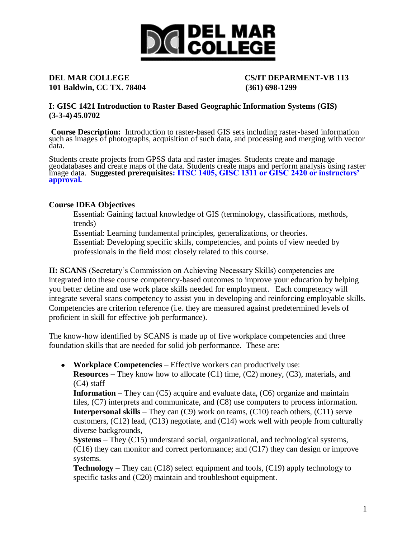

# **101 Baldwin, CC TX. 78404 (361) 698-1299**

## **DEL MAR COLLEGE CS/IT DEPARMENT-VB 113**

**I: GISC 1421 Introduction to Raster Based Geographic Information Systems (GIS) (3-3-4) 45.0702**

**Course Description:** Introduction to raster-based GIS sets including raster-based information such as images of photographs, acquisition of such data, and processing and merging with vector data.

Students create projects from GPSS data and raster images. Students create and manage geodatabases and create maps of the data. Students create maps and perform analysis using raster image data. **Suggested prerequisites: ITSC 1405, GISC 1311 or GISC 2420 or instructors' approval.**

#### **Course IDEA Objectives**

Essential: Gaining factual knowledge of GIS (terminology, classifications, methods, trends)

Essential: Learning fundamental principles, generalizations, or theories.

Essential: Developing specific skills, competencies, and points of view needed by professionals in the field most closely related to this course.

**II: SCANS** (Secretary's Commission on Achieving Necessary Skills) competencies are integrated into these course competency-based outcomes to improve your education by helping you better define and use work place skills needed for employment. Each competency will integrate several scans competency to assist you in developing and reinforcing employable skills. Competencies are criterion reference (i.e. they are measured against predetermined levels of proficient in skill for effective job performance).

The know-how identified by SCANS is made up of five workplace competencies and three foundation skills that are needed for solid job performance. These are:

**Workplace Competencies** – Effective workers can productively use:

**Resources** – They know how to allocate (C1) time, (C2) money, (C3), materials, and (C4) staff

**Information** – They can (C5) acquire and evaluate data, (C6) organize and maintain files, (C7) interprets and communicate, and (C8) use computers to process information. **Interpersonal skills** – They can (C9) work on teams, (C10) teach others, (C11) serve customers,  $(C12)$  lead,  $(C13)$  negotiate, and  $(C14)$  work well with people from culturally diverse backgrounds,

**Systems** – They (C15) understand social, organizational, and technological systems, (C16) they can monitor and correct performance; and (C17) they can design or improve systems.

**Technology** – They can (C18) select equipment and tools, (C19) apply technology to specific tasks and  $(C20)$  maintain and troubleshoot equipment.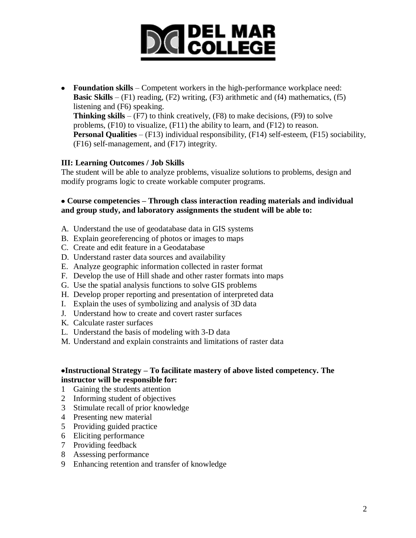# **DICIDEL MAR**<br> **DICOLLEGE**

**Foundation skills** – Competent workers in the high-performance workplace need: **Basic Skills** –  $(F1)$  reading,  $(F2)$  writing,  $(F3)$  arithmetic and  $(f4)$  mathematics,  $(f5)$ listening and (F6) speaking. **Thinking skills** –  $(F7)$  to think creatively,  $(F8)$  to make decisions,  $(F9)$  to solve problems, (F10) to visualize, (F11) the ability to learn, and (F12) to reason. **Personal Qualities** – (F13) individual responsibility, (F14) self-esteem, (F15) sociability, (F16) self-management, and (F17) integrity.

### **III: Learning Outcomes / Job Skills**

The student will be able to analyze problems, visualize solutions to problems, design and modify programs logic to create workable computer programs.

#### **Course competencies – Through class interaction reading materials and individual and group study, and laboratory assignments the student will be able to:**

- A. Understand the use of geodatabase data in GIS systems
- B. Explain georeferencing of photos or images to maps
- C. Create and edit feature in a Geodatabase
- D. Understand raster data sources and availability
- E. Analyze geographic information collected in raster format
- F. Develop the use of Hill shade and other raster formats into maps
- G. Use the spatial analysis functions to solve GIS problems
- H. Develop proper reporting and presentation of interpreted data
- I. Explain the uses of symbolizing and analysis of 3D data
- J. Understand how to create and covert raster surfaces
- K. Calculate raster surfaces
- L. Understand the basis of modeling with 3-D data
- M. Understand and explain constraints and limitations of raster data

#### **Instructional Strategy – To facilitate mastery of above listed competency. The instructor will be responsible for:**

- 1 Gaining the students attention
- 2 Informing student of objectives
- 3 Stimulate recall of prior knowledge
- 4 Presenting new material
- 5 Providing guided practice
- 6 Eliciting performance
- 7 Providing feedback
- 8 Assessing performance
- 9 Enhancing retention and transfer of knowledge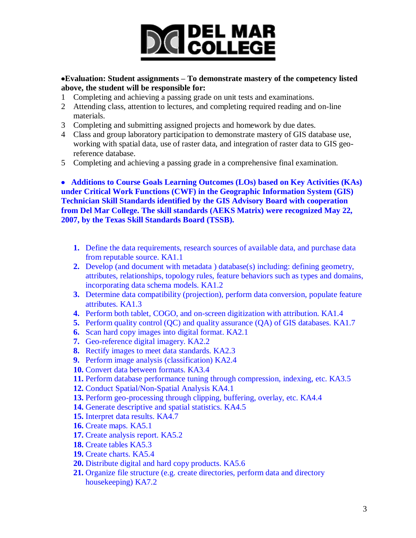# **DICIDEL MAR**

#### **Evaluation: Student assignments – To demonstrate mastery of the competency listed above, the student will be responsible for:**

- 1 Completing and achieving a passing grade on unit tests and examinations.
- 2 Attending class, attention to lectures, and completing required reading and on-line materials.
- 3 Completing and submitting assigned projects and homework by due dates.
- 4 Class and group laboratory participation to demonstrate mastery of GIS database use, working with spatial data, use of raster data, and integration of raster data to GIS georeference database.
- 5 Completing and achieving a passing grade in a comprehensive final examination.

 **Additions to Course Goals Learning Outcomes (LOs) based on Key Activities (KAs) under Critical Work Functions (CWF) in the Geographic Information System (GIS) Technician Skill Standards identified by the GIS Advisory Board with cooperation from Del Mar College. The skill standards (AEKS Matrix) were recognized May 22, 2007, by the Texas Skill Standards Board (TSSB).**

- **1.** Define the data requirements, research sources of available data, and purchase data from reputable source. KA1.1
- **2.** Develop (and document with metadata ) database(s) including: defining geometry, attributes, relationships, topology rules, feature behaviors such as types and domains, incorporating data schema models. KA1.2
- **3.** Determine data compatibility (projection), perform data conversion, populate feature attributes. KA1.3
- **4.** Perform both tablet, COGO, and on-screen digitization with attribution. KA1.4
- **5.** Perform quality control (QC) and quality assurance (QA) of GIS databases. KA1.7
- **6.** Scan hard copy images into digital format. KA2.1
- **7.** Geo-reference digital imagery. KA2.2
- **8.** Rectify images to meet data standards. KA2.3
- **9.** Perform image analysis (classification) KA2.4
- **10.** Convert data between formats. KA3.4
- **11.** Perform database performance tuning through compression, indexing, etc. KA3.5
- **12.** Conduct Spatial/Non-Spatial Analysis KA4.1
- **13.** Perform geo-processing through clipping, buffering, overlay, etc. KA4.4
- **14.** Generate descriptive and spatial statistics. KA4.5
- **15.** Interpret data results. KA4.7
- **16.** Create maps. KA5.1
- **17.** Create analysis report. KA5.2
- **18.** Create tables KA5.3
- **19.** Create charts. KA5.4
- **20.** Distribute digital and hard copy products. KA5.6
- **21.** Organize file structure (e.g. create directories, perform data and directory housekeeping) KA7.2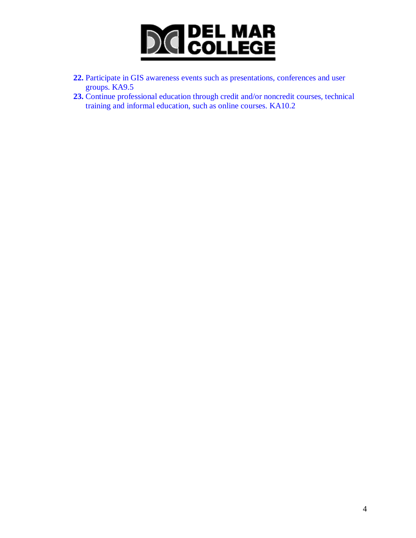

- **22.** Participate in GIS awareness events such as presentations, conferences and user groups. KA9.5
- **23.** Continue professional education through credit and/or noncredit courses, technical training and informal education, such as online courses. KA10.2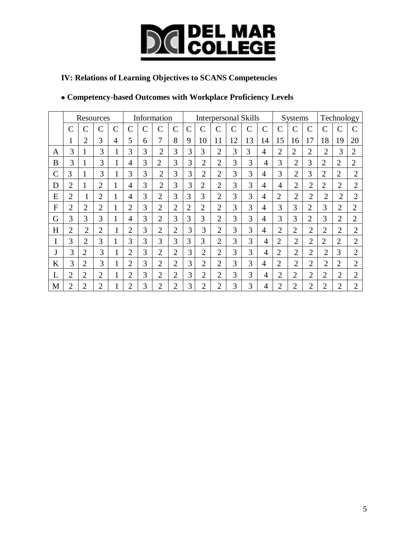

## **IV: Relations of Learning Objectives to SCANS Competencies**

## **Competency-based Outcomes with Workplace Proficiency Levels**

|               | Resources      |                |                |                | Information    |   |                |                    | <b>Interpersonal Skills</b> |                |                    |               |                |    |                | <b>Systems</b> |                |                | Technology     |                |  |
|---------------|----------------|----------------|----------------|----------------|----------------|---|----------------|--------------------|-----------------------------|----------------|--------------------|---------------|----------------|----|----------------|----------------|----------------|----------------|----------------|----------------|--|
|               | C              | $\mathsf{C}$   | $\mathcal{C}$  | $\overline{C}$ | С              | C | Ċ              | $\overline{\rm C}$ | $\mathbf C$                 | $\mathcal{C}$  | $\overline{\rm C}$ | $\mathcal{C}$ | $\mathcal{C}$  | Ć  | С              | $\overline{C}$ | $\mathcal{C}$  | C              | $\overline{C}$ |                |  |
|               |                | $\overline{2}$ | 3              | 4              | 5              | 6 | 7              | 8                  | 9                           | 10             | 11                 | 12            | 13             | 14 | 15             | 16             | 17             | 18             | 19             | 20             |  |
| A             | 3              | 1              | 3              | $\mathbf{1}$   | 3              | 3 | $\overline{2}$ | 3                  | 3                           | 3              | $\overline{2}$     | 3             | 3              | 4  | $\overline{2}$ | $\overline{2}$ | $\overline{2}$ | $\overline{2}$ | 3              | $\overline{2}$ |  |
| B             | 3              | 1              | 3              | $\mathbf{1}$   | 4              | 3 | $\overline{2}$ | 3                  | 3                           | $\overline{2}$ | $\overline{2}$     | 3             | 3              | 4  | 3              | $\overline{2}$ | 3              | $\overline{2}$ | $\overline{2}$ | $\overline{2}$ |  |
| $\mathcal{C}$ | 3              | $\mathbf{1}$   | 3              | $\mathbf{1}$   | 3              | 3 | $\overline{2}$ | 3                  | 3                           | $\overline{2}$ | $\overline{2}$     | 3             | 3              | 4  | 3              | $\overline{2}$ | 3              | $\overline{2}$ | $\overline{2}$ | $\overline{2}$ |  |
| D             | $\overline{2}$ | 1              | $\overline{2}$ |                | 4              | 3 | $\overline{2}$ | 3                  | 3                           | $\overline{2}$ | $\overline{2}$     | 3             | 3              | 4  | $\overline{4}$ | $\overline{2}$ | $\overline{2}$ | $\overline{2}$ | $\overline{2}$ | $\overline{2}$ |  |
| E             | $\overline{2}$ |                | $\overline{2}$ |                | 4              | 3 | $\overline{2}$ | 3                  | 3                           | 3              | $\overline{2}$     | 3             | 3              | 4  | $\overline{2}$ | $\overline{2}$ | $\overline{2}$ | $\overline{2}$ | $\overline{2}$ | $\overline{2}$ |  |
| F             | $\overline{2}$ | $\overline{2}$ | $\overline{2}$ |                | $\overline{2}$ | 3 | $\overline{2}$ | $\overline{2}$     | $\overline{2}$              | $\overline{2}$ | $\overline{2}$     | 3             | 3              | 4  | 3              | 3              | $\overline{2}$ | 3              | $\overline{2}$ | $\overline{2}$ |  |
| G             | 3              | 3              | 3              |                | 4              | 3 | $\overline{2}$ | 3                  | 3                           | 3              | $\overline{2}$     | 3             | 3              | 4  | 3              | 3              | $\overline{2}$ | 3              | $\overline{2}$ | $\overline{2}$ |  |
| H             | $\overline{2}$ | $\overline{2}$ | $\overline{2}$ | $\mathbf{1}$   | $\overline{2}$ | 3 | $\overline{2}$ | $\overline{2}$     | 3                           | 3              | $\overline{2}$     | 3             | 3              | 4  | $\overline{2}$ | $\overline{2}$ | $\overline{2}$ | $\overline{2}$ | $\overline{2}$ | $\overline{2}$ |  |
| I             | 3              | $\overline{2}$ | 3              | T              | 3              | 3 | 3              | 3                  | 3                           | 3              | $\overline{2}$     | 3             | 3              | 4  | $\overline{2}$ | $\overline{2}$ | $\overline{2}$ | $\overline{2}$ | $\overline{2}$ | $\overline{2}$ |  |
| J             | 3              | $\overline{2}$ | 3              | 1              | $\overline{2}$ | 3 | $\overline{2}$ | $\overline{2}$     | 3                           | $\overline{2}$ | $\overline{2}$     | 3             | $\overline{3}$ | 4  | $\overline{2}$ | $\overline{2}$ | $\overline{2}$ | $\overline{2}$ | 3              | $\overline{2}$ |  |
| K             | 3              | $\overline{2}$ | 3              | 1<br>1         | $\overline{2}$ | 3 | $\overline{2}$ | $\overline{2}$     | 3                           | $\overline{2}$ | $\overline{2}$     | 3             | 3              | 4  | $\overline{2}$ | $\overline{2}$ | $\overline{2}$ | $\overline{2}$ | $\overline{2}$ | $\overline{2}$ |  |
| L             | $\overline{2}$ | $\overline{2}$ | $\overline{2}$ | 1<br>1         | $\overline{2}$ | 3 | $\overline{2}$ | $\overline{2}$     | 3                           | $\overline{2}$ | $\overline{2}$     | 3             | 3              | 4  | $\overline{2}$ | $\overline{2}$ | $\overline{2}$ | $\overline{2}$ | $\overline{2}$ | $\overline{2}$ |  |
| М             | $\overline{2}$ | $\overline{2}$ | $\overline{2}$ | 1              | 2              | 3 | $\overline{2}$ | $\overline{2}$     | 3                           | 2              | 2                  | 3             | 3              | 4  | 2              | 2              | $\overline{2}$ | $\overline{2}$ | $\overline{2}$ | $\overline{2}$ |  |